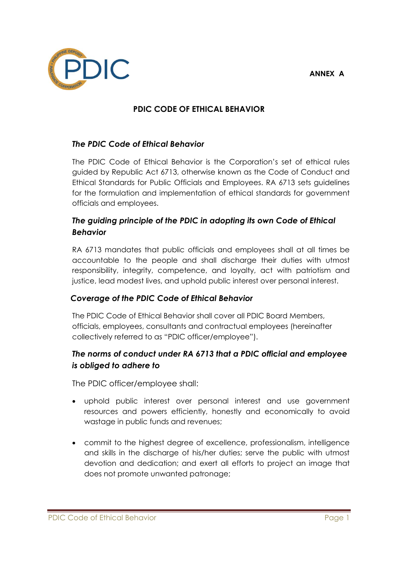**ANNEX A**



## **PDIC CODE OF ETHICAL BEHAVIOR**

### *The PDIC Code of Ethical Behavior*

The PDIC Code of Ethical Behavior is the Corporation's set of ethical rules guided by Republic Act 6713, otherwise known as the Code of Conduct and Ethical Standards for Public Officials and Employees. RA 6713 sets guidelines for the formulation and implementation of ethical standards for government officials and employees.

## *The guiding principle of the PDIC in adopting its own Code of Ethical Behavior*

RA 6713 mandates that public officials and employees shall at all times be accountable to the people and shall discharge their duties with utmost responsibility, integrity, competence, and loyalty, act with patriotism and justice, lead modest lives, and uphold public interest over personal interest.

### *Coverage of the PDIC Code of Ethical Behavior*

The PDIC Code of Ethical Behavior shall cover all PDIC Board Members, officials, employees, consultants and contractual employees (hereinafter collectively referred to as "PDIC officer/employee").

# *The norms of conduct under RA 6713 that a PDIC official and employee is obliged to adhere to*

The PDIC officer/employee shall:

- uphold public interest over personal interest and use government resources and powers efficiently, honestly and economically to avoid wastage in public funds and revenues;
- commit to the highest degree of excellence, professionalism, intelligence and skills in the discharge of his/her duties; serve the public with utmost devotion and dedication; and exert all efforts to project an image that does not promote unwanted patronage;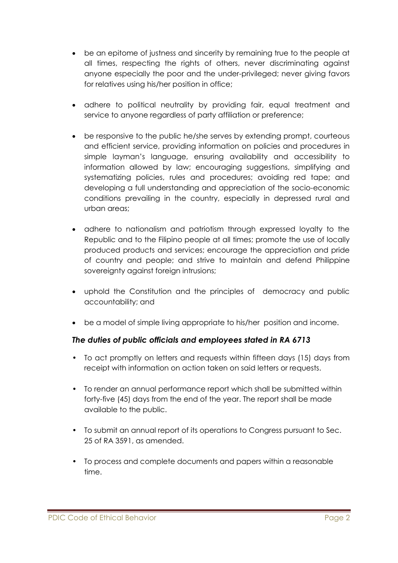- be an epitome of justness and sincerity by remaining true to the people at all times, respecting the rights of others, never discriminating against anyone especially the poor and the under-privileged; never giving favors for relatives using his/her position in office;
- adhere to political neutrality by providing fair, equal treatment and service to anyone regardless of party affiliation or preference;
- be responsive to the public he/she serves by extending prompt, courteous and efficient service, providing information on policies and procedures in simple layman's language, ensuring availability and accessibility to information allowed by law; encouraging suggestions, simplifying and systematizing policies, rules and procedures; avoiding red tape; and developing a full understanding and appreciation of the socio-economic conditions prevailing in the country, especially in depressed rural and urban areas;
- adhere to nationalism and patriotism through expressed loyalty to the Republic and to the Filipino people at all times; promote the use of locally produced products and services; encourage the appreciation and pride of country and people; and strive to maintain and defend Philippine sovereignty against foreign intrusions;
- uphold the Constitution and the principles of democracy and public accountability; and
- be a model of simple living appropriate to his/her position and income.

### *The duties of public officials and employees stated in RA 6713*

- To act promptly on letters and requests within fifteen days (15) days from receipt with information on action taken on said letters or requests.
- To render an annual performance report which shall be submitted within forty-five (45) days from the end of the year. The report shall be made available to the public.
- To submit an annual report of its operations to Congress pursuant to Sec. 25 of RA 3591, as amended.
- To process and complete documents and papers within a reasonable time.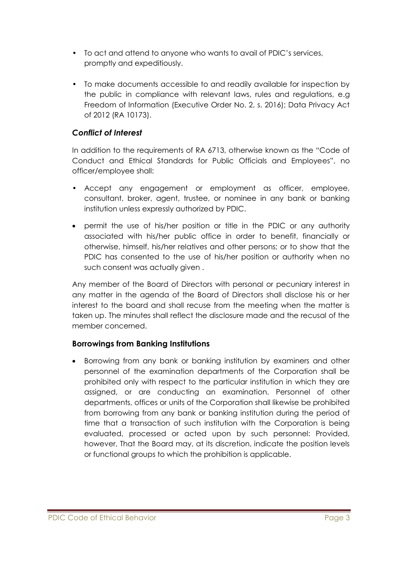- To act and attend to anyone who wants to avail of PDIC's services, promptly and expeditiously.
- To make documents accessible to and readily available for inspection by the public in compliance with relevant laws, rules and regulations, e.g Freedom of Information (Executive Order No. 2, s. 2016); Data Privacy Act of 2012 (RA 10173).

### *Conflict of Interest*

In addition to the requirements of RA 6713, otherwise known as the "Code of Conduct and Ethical Standards for Public Officials and Employees", no officer/employee shall:

- Accept any engagement or employment as officer, employee, consultant, broker, agent, trustee, or nominee in any bank or banking institution unless expressly authorized by PDIC.
- permit the use of his/her position or title in the PDIC or any authority associated with his/her public office in order to benefit, financially or otherwise, himself, his/her relatives and other persons; or to show that the PDIC has consented to the use of his/her position or authority when no such consent was actually given .

Any member of the Board of Directors with personal or pecuniary interest in any matter in the agenda of the Board of Directors shall disclose his or her interest to the board and shall recuse from the meeting when the matter is taken up. The minutes shall reflect the disclosure made and the recusal of the member concerned.

### **Borrowings from Banking Institutions**

 Borrowing from any bank or banking institution by examiners and other personnel of the examination departments of the Corporation shall be prohibited only with respect to the particular institution in which they are assigned, or are conducting an examination. Personnel of other departments, offices or units of the Corporation shall likewise be prohibited from borrowing from any bank or banking institution during the period of time that a transaction of such institution with the Corporation is being evaluated, processed or acted upon by such personnel: Provided, however, That the Board may, at its discretion, indicate the position levels or functional groups to which the prohibition is applicable.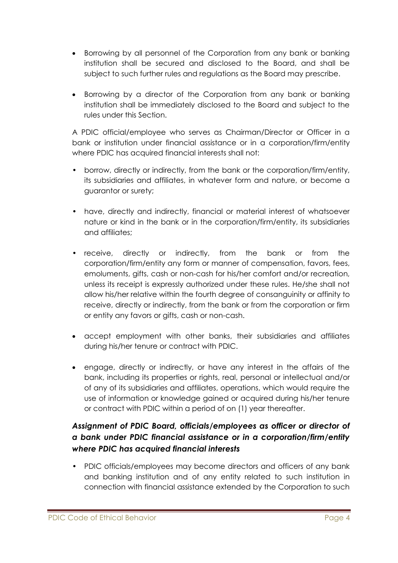- Borrowing by all personnel of the Corporation from any bank or banking institution shall be secured and disclosed to the Board, and shall be subject to such further rules and regulations as the Board may prescribe.
- Borrowing by a director of the Corporation from any bank or banking institution shall be immediately disclosed to the Board and subject to the rules under this Section.

A PDIC official/employee who serves as Chairman/Director or Officer in a bank or institution under financial assistance or in a corporation/firm/entity where PDIC has acquired financial interests shall not:

- borrow, directly or indirectly, from the bank or the corporation/firm/entity, its subsidiaries and affiliates, in whatever form and nature, or become a guarantor or surety;
- have, directly and indirectly, financial or material interest of whatsoever nature or kind in the bank or in the corporation/firm/entity, its subsidiaries and affiliates;
- receive, directly or indirectly, from the bank or from the corporation/firm/entity any form or manner of compensation, favors, fees, emoluments, gifts, cash or non-cash for his/her comfort and/or recreation, unless its receipt is expressly authorized under these rules. He/she shall not allow his/her relative within the fourth degree of consanguinity or affinity to receive, directly or indirectly, from the bank or from the corporation or firm or entity any favors or gifts, cash or non-cash.
- accept employment with other banks, their subsidiaries and affiliates during his/her tenure or contract with PDIC.
- engage, directly or indirectly, or have any interest in the affairs of the bank, including its properties or rights, real, personal or intellectual and/or of any of its subsidiaries and affiliates, operations, which would require the use of information or knowledge gained or acquired during his/her tenure or contract with PDIC within a period of on (1) year thereafter.

# *Assignment of PDIC Board, officials/employees as officer or director of a bank under PDIC financial assistance or in a corporation/firm/entity where PDIC has acquired financial interests*

• PDIC officials/employees may become directors and officers of any bank and banking institution and of any entity related to such institution in connection with financial assistance extended by the Corporation to such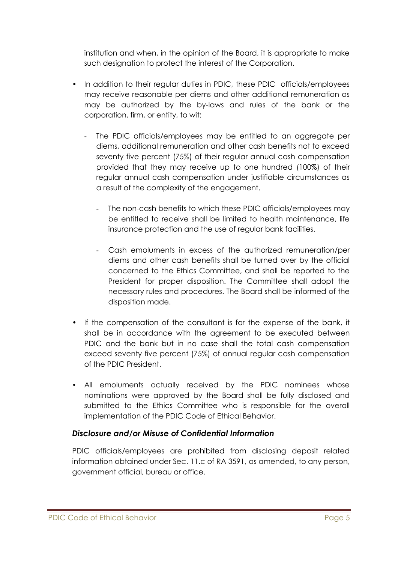institution and when, in the opinion of the Board, it is appropriate to make such designation to protect the interest of the Corporation.

- In addition to their regular duties in PDIC, these PDIC officials/employees may receive reasonable per diems and other additional remuneration as may be authorized by the by-laws and rules of the bank or the corporation, firm, or entity, to wit:
	- The PDIC officials/employees may be entitled to an aggregate per diems, additional remuneration and other cash benefits not to exceed seventy five percent (75%) of their regular annual cash compensation provided that they may receive up to one hundred (100%) of their regular annual cash compensation under justifiable circumstances as a result of the complexity of the engagement.
		- The non-cash benefits to which these PDIC officials/employees may be entitled to receive shall be limited to health maintenance, life insurance protection and the use of regular bank facilities.
		- Cash emoluments in excess of the authorized remuneration/per diems and other cash benefits shall be turned over by the official concerned to the Ethics Committee, and shall be reported to the President for proper disposition. The Committee shall adopt the necessary rules and procedures. The Board shall be informed of the disposition made.
- If the compensation of the consultant is for the expense of the bank, it shall be in accordance with the agreement to be executed between PDIC and the bank but in no case shall the total cash compensation exceed seventy five percent (75%) of annual regular cash compensation of the PDIC President.
- All emoluments actually received by the PDIC nominees whose nominations were approved by the Board shall be fully disclosed and submitted to the Ethics Committee who is responsible for the overall implementation of the PDIC Code of Ethical Behavior.

## *Disclosure and/or Misuse of Confidential Information*

PDIC officials/employees are prohibited from disclosing deposit related information obtained under Sec. 11.c of RA 3591, as amended, to any person, government official, bureau or office.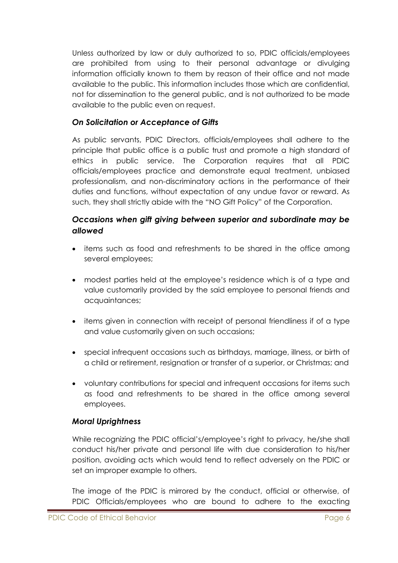Unless authorized by law or duly authorized to so, PDIC officials/employees are prohibited from using to their personal advantage or divulging information officially known to them by reason of their office and not made available to the public. This information includes those which are confidential, not for dissemination to the general public, and is not authorized to be made available to the public even on request.

### *On Solicitation or Acceptance of Gifts*

As public servants, PDIC Directors, officials/employees shall adhere to the principle that public office is a public trust and promote a high standard of ethics in public service. The Corporation requires that all PDIC officials/employees practice and demonstrate equal treatment, unbiased professionalism, and non-discriminatory actions in the performance of their duties and functions, without expectation of any undue favor or reward. As such, they shall strictly abide with the "NO Gift Policy" of the Corporation.

## *Occasions when gift giving between superior and subordinate may be allowed*

- items such as food and refreshments to be shared in the office among several employees;
- modest parties held at the employee's residence which is of a type and value customarily provided by the said employee to personal friends and acquaintances;
- items given in connection with receipt of personal friendliness if of a type and value customarily given on such occasions;
- special infrequent occasions such as birthdays, marriage, illness, or birth of a child or retirement, resignation or transfer of a superior, or Christmas; and
- voluntary contributions for special and infrequent occasions for items such as food and refreshments to be shared in the office among several employees.

### *Moral Uprightness*

While recognizing the PDIC official's/employee's right to privacy, he/she shall conduct his/her private and personal life with due consideration to his/her position, avoiding acts which would tend to reflect adversely on the PDIC or set an improper example to others.

The image of the PDIC is mirrored by the conduct, official or otherwise, of PDIC Officials/employees who are bound to adhere to the exacting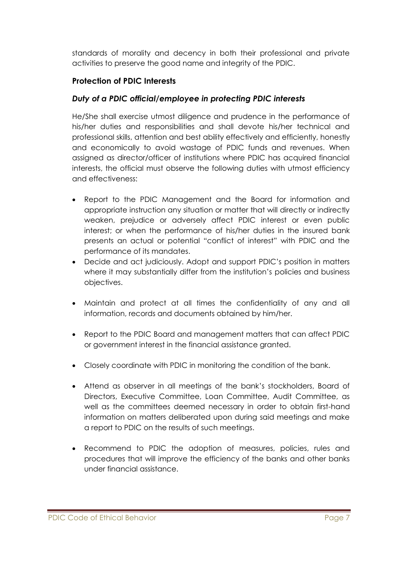standards of morality and decency in both their professional and private activities to preserve the good name and integrity of the PDIC.

### **Protection of PDIC Interests**

### *Duty of a PDIC official/employee in protecting PDIC interests*

He/She shall exercise utmost diligence and prudence in the performance of his/her duties and responsibilities and shall devote his/her technical and professional skills, attention and best ability effectively and efficiently, honestly and economically to avoid wastage of PDIC funds and revenues. When assigned as director/officer of institutions where PDIC has acquired financial interests, the official must observe the following duties with utmost efficiency and effectiveness:

- Report to the PDIC Management and the Board for information and appropriate instruction any situation or matter that will directly or indirectly weaken, prejudice or adversely affect PDIC interest or even public interest; or when the performance of his/her duties in the insured bank presents an actual or potential "conflict of interest" with PDIC and the performance of its mandates.
- Decide and act judiciously. Adopt and support PDIC's position in matters where it may substantially differ from the institution's policies and business objectives.
- Maintain and protect at all times the confidentiality of any and all information, records and documents obtained by him/her.
- Report to the PDIC Board and management matters that can affect PDIC or government interest in the financial assistance granted.
- Closely coordinate with PDIC in monitoring the condition of the bank.
- Attend as observer in all meetings of the bank's stockholders, Board of Directors, Executive Committee, Loan Committee, Audit Committee, as well as the committees deemed necessary in order to obtain first-hand information on matters deliberated upon during said meetings and make a report to PDIC on the results of such meetings.
- Recommend to PDIC the adoption of measures, policies, rules and procedures that will improve the efficiency of the banks and other banks under financial assistance.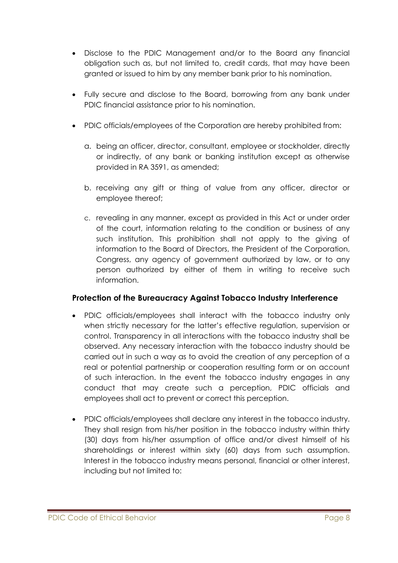- Disclose to the PDIC Management and/or to the Board any financial obligation such as, but not limited to, credit cards, that may have been granted or issued to him by any member bank prior to his nomination.
- Fully secure and disclose to the Board, borrowing from any bank under PDIC financial assistance prior to his nomination.
- PDIC officials/employees of the Corporation are hereby prohibited from:
	- a. being an officer, director, consultant, employee or stockholder, directly or indirectly, of any bank or banking institution except as otherwise provided in RA 3591, as amended;
	- b. receiving any gift or thing of value from any officer, director or employee thereof;
	- c. revealing in any manner, except as provided in this Act or under order of the court, information relating to the condition or business of any such institution. This prohibition shall not apply to the giving of information to the Board of Directors, the President of the Corporation, Congress, any agency of government authorized by law, or to any person authorized by either of them in writing to receive such information.

### **Protection of the Bureaucracy Against Tobacco Industry Interference**

- PDIC officials/employees shall interact with the tobacco industry only when strictly necessary for the latter's effective regulation, supervision or control. Transparency in all interactions with the tobacco industry shall be observed. Any necessary interaction with the tobacco industry should be carried out in such a way as to avoid the creation of any perception of a real or potential partnership or cooperation resulting form or on account of such interaction. In the event the tobacco industry engages in any conduct that may create such a perception, PDIC officials and employees shall act to prevent or correct this perception.
- PDIC officials/employees shall declare any interest in the tobacco industry. They shall resign from his/her position in the tobacco industry within thirty (30) days from his/her assumption of office and/or divest himself of his shareholdings or interest within sixty (60) days from such assumption. Interest in the tobacco industry means personal, financial or other interest, including but not limited to: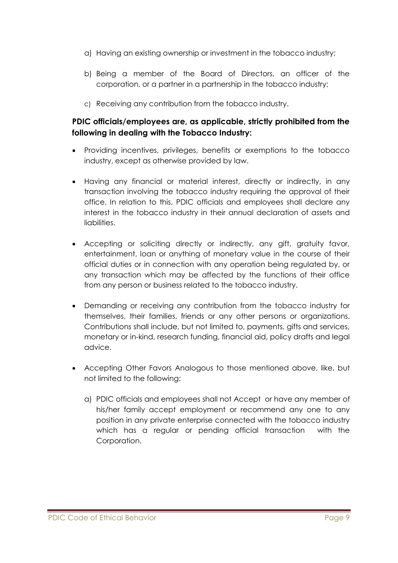- a) Having an existing ownership or investment in the tobacco industry;
- b) Being a member of the Board of Directors, an officer of the corporation, or a partner in a partnership in the tobacco industry;
- c) Receiving any contribution from the tobacco industry.

## **PDIC officials/employees are, as applicable, strictly prohibited from the following in dealing with the Tobacco Industry:**

- Providing incentives, privileges, benefits or exemptions to the tobacco industry, except as otherwise provided by law.
- Having any financial or material interest, directly or indirectly, in any transaction involving the tobacco industry requiring the approval of their office. In relation to this, PDIC officials and employees shall declare any interest in the tobacco industry in their annual declaration of assets and liabilities.
- Accepting or soliciting directly or indirectly, any gift, gratuity favor, entertainment, loan or anything of monetary value in the course of their official duties or in connection with any operation being regulated by, or any transaction which may be affected by the functions of their office from any person or business related to the tobacco industry.
- Demanding or receiving any contribution from the tobacco industry for themselves, their families, friends or any other persons or organizations. Contributions shall include, but not limited to, payments, gifts and services, monetary or in-kind, research funding, financial aid, policy drafts and legal advice.
- Accepting Other Favors Analogous to those mentioned above, like, but not limited to the following:
	- a) PDIC officials and employees shall not Accept or have any member of his/her family accept employment or recommend any one to any position in any private enterprise connected with the tobacco industry which has a regular or pending official transaction with the Corporation.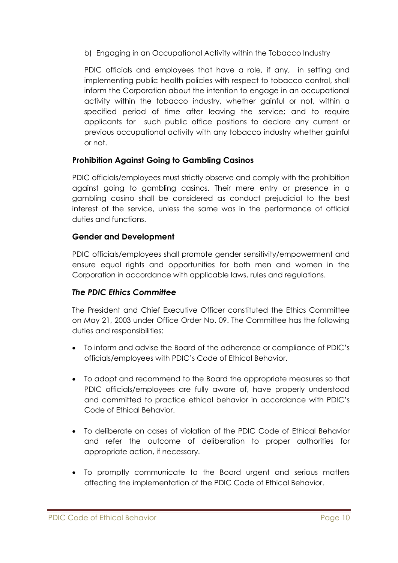b) Engaging in an Occupational Activity within the Tobacco Industry

PDIC officials and employees that have a role, if any, in setting and implementing public health policies with respect to tobacco control, shall inform the Corporation about the intention to engage in an occupational activity within the tobacco industry, whether gainful or not, within a specified period of time after leaving the service; and to require applicants for such public office positions to declare any current or previous occupational activity with any tobacco industry whether gainful or not.

## **Prohibition Against Going to Gambling Casinos**

PDIC officials/employees must strictly observe and comply with the prohibition against going to gambling casinos. Their mere entry or presence in a gambling casino shall be considered as conduct prejudicial to the best interest of the service, unless the same was in the performance of official duties and functions.

## **Gender and Development**

PDIC officials/employees shall promote gender sensitivity/empowerment and ensure equal rights and opportunities for both men and women in the Corporation in accordance with applicable laws, rules and regulations.

## *The PDIC Ethics Committee*

The President and Chief Executive Officer constituted the Ethics Committee on May 21, 2003 under Office Order No. 09. The Committee has the following duties and responsibilities:

- To inform and advise the Board of the adherence or compliance of PDIC's officials/employees with PDIC's Code of Ethical Behavior.
- To adopt and recommend to the Board the appropriate measures so that PDIC officials/employees are fully aware of, have properly understood and committed to practice ethical behavior in accordance with PDIC's Code of Ethical Behavior.
- To deliberate on cases of violation of the PDIC Code of Ethical Behavior and refer the outcome of deliberation to proper authorities for appropriate action, if necessary.
- To promptly communicate to the Board urgent and serious matters affecting the implementation of the PDIC Code of Ethical Behavior.